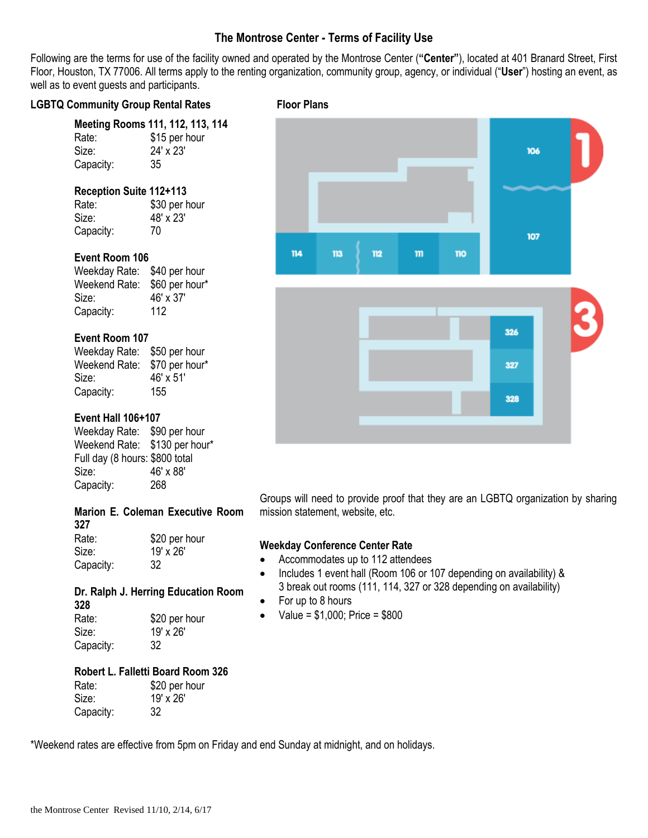## **The Montrose Center - Terms of Facility Use**

Following are the terms for use of the facility owned and operated by the Montrose Center (**"Center"**), located at 401 Branard Street, First Floor, Houston, TX 77006. All terms apply to the renting organization, community group, agency, or individual ("**User**") hosting an event, as well as to event guests and participants.

### LGBTQ Community Group Rental Rates Floor Plans

|           | Meeting Rooms 111, 112, 113, 114 |
|-----------|----------------------------------|
| Rate:     | \$15 per hour                    |
| Size:     | $24' \times 23'$                 |
| Capacity: | 35                               |

## **Reception Suite 112+113**

Rate: \$30 per hour Size: 48' x 23' Capacity: 70

## **Event Room 106**

Weekday Rate: \$40 per hour Weekend Rate: \$60 per hour\* Size: 46' x 37' Capacity: 112

## **Event Room 107**

Weekday Rate: \$50 per hour Weekend Rate: \$70 per hour\* Size: 46' x 51' Capacity: 155

## **Event Hall 106+107**

Weekday Rate: \$90 per hour Weekend Rate: \$130 per hour\* Full day (8 hours: \$800 total Size: 46' x 88' Capacity: 268

## **Marion E. Coleman Executive Room**

**327** Rate: \$20 per hour Size: 19' x 26' Capacity: 32

## **Dr. Ralph J. Herring Education Room**

| 328       |               |
|-----------|---------------|
| Rate:     | \$20 per hour |
| Size:     | 19' x 26'     |
| Capacity: | 32            |

## **Robert L. Falletti Board Room 326**

| Rate:     | \$20 per hour |
|-----------|---------------|
| Size:     | 19' x 26'     |
| Capacity: | 32            |





Groups will need to provide proof that they are an LGBTQ organization by sharing mission statement, website, etc.

## **Weekday Conference Center Rate**

- Accommodates up to 112 attendees
- Includes 1 event hall (Room 106 or 107 depending on availability) & 3 break out rooms (111, 114, 327 or 328 depending on availability)
- For up to 8 hours
- $\bullet$  Value = \$1,000; Price = \$800

\*Weekend rates are effective from 5pm on Friday and end Sunday at midnight, and on holidays.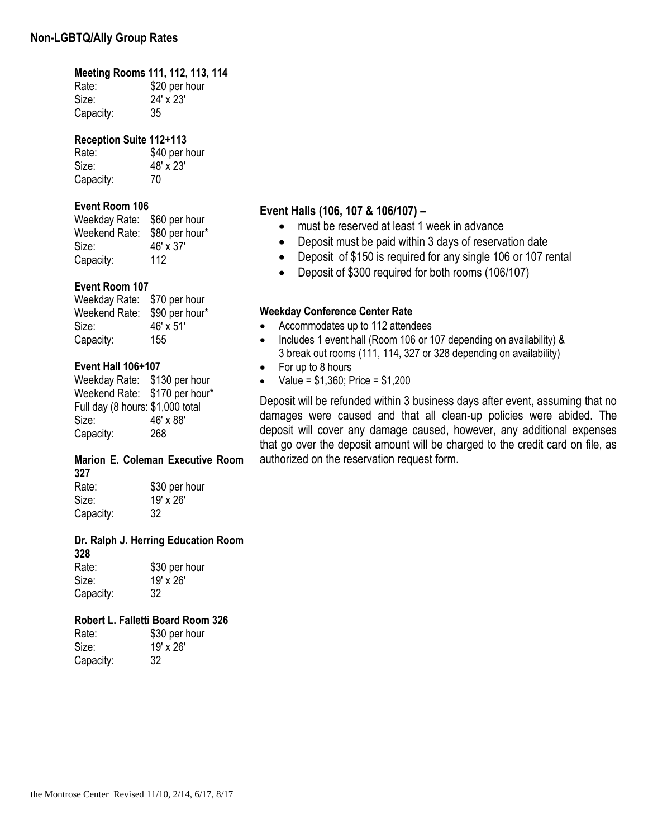# **Meeting Rooms 111, 112, 113, 114**

Rate: \$20 per hour Size: 24' x 23' Capacity: 35

## **Reception Suite 112+113**

Rate: \$40 per hour Size: 48' x 23' Capacity: 70

## **Event Room 106**

Weekday Rate: \$60 per hour Weekend Rate: \$80 per hour\* Size: 46' x 37' Capacity: 112

## **Event Room 107**

| Weekday Rate: | \$70 per hour  |
|---------------|----------------|
| Weekend Rate: | \$90 per hour* |
| Size:         | 46' x 51'      |
| Capacity:     | 155            |

## **Event Hall 106+107**

Weekday Rate: \$130 per hour Weekend Rate: \$170 per hour\* Full day (8 hours: \$1,000 total Size: 46' x 88' Capacity: 268

#### **Marion E. Coleman Executive Room 327**

Rate: \$30 per hour Size: 19' x 26'<br>Capacity: 32 Capacity:

#### **Dr. Ralph J. Herring Education Room 328**

Rate: \$30 per hour Size: 19' x 26' Capacity: 32

## **Robert L. Falletti Board Room 326**

| Rate:     | \$30 per hour |
|-----------|---------------|
| Size:     | 19' x 26'     |
| Capacity: | 32            |

## **Event Halls (106, 107 & 106/107) –**

- must be reserved at least 1 week in advance
- Deposit must be paid within 3 days of reservation date
- Deposit of \$150 is required for any single 106 or 107 rental
- Deposit of \$300 required for both rooms (106/107)

## **Weekday Conference Center Rate**

- Accommodates up to 112 attendees
- Includes 1 event hall (Room 106 or 107 depending on availability) & 3 break out rooms (111, 114, 327 or 328 depending on availability)
- For up to 8 hours
- Value = \$1,360; Price = \$1,200

Deposit will be refunded within 3 business days after event, assuming that no damages were caused and that all clean-up policies were abided. The deposit will cover any damage caused, however, any additional expenses that go over the deposit amount will be charged to the credit card on file, as authorized on the reservation request form.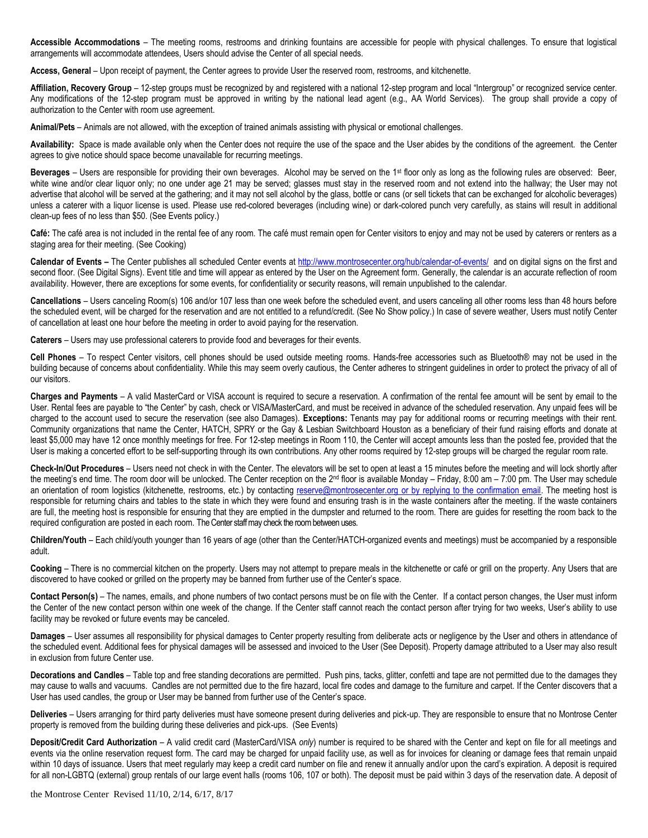**Accessible Accommodations** – The meeting rooms, restrooms and drinking fountains are accessible for people with physical challenges. To ensure that logistical arrangements will accommodate attendees, Users should advise the Center of all special needs.

**Access, General** – Upon receipt of payment, the Center agrees to provide User the reserved room, restrooms, and kitchenette.

Affiliation, Recovery Group - 12-step groups must be recognized by and registered with a national 12-step program and local "Intergroup" or recognized service center. Any modifications of the 12-step program must be approved in writing by the national lead agent (e.g., AA World Services). The group shall provide a copy of authorization to the Center with room use agreement.

**Animal/Pets** – Animals are not allowed, with the exception of trained animals assisting with physical or emotional challenges.

**Availability:** Space is made available only when the Center does not require the use of the space and the User abides by the conditions of the agreement. the Center agrees to give notice should space become unavailable for recurring meetings.

Beverages – Users are responsible for providing their own beverages. Alcohol may be served on the 1<sup>st</sup> floor only as long as the following rules are observed: Beer, white wine and/or clear liquor only; no one under age 21 may be served; glasses must stay in the reserved room and not extend into the hallway; the User may not advertise that alcohol will be served at the gathering; and it may not sell alcohol by the glass, bottle or cans (or sell tickets that can be exchanged for alcoholic beverages) unless a caterer with a liquor license is used. Please use red-colored beverages (including wine) or dark-colored punch very carefully, as stains will result in additional clean-up fees of no less than \$50. (See Events policy.)

**Café:** The café area is not included in the rental fee of any room. The café must remain open for Center visitors to enjoy and may not be used by caterers or renters as a staging area for their meeting. (See Cooking)

Calendar of Events - The Center publishes all scheduled Center events at <http://www.montrosecenter.org/hub/calendar-of-events/> and on digital signs on the first and second floor. (See Digital Signs). Event title and time will appear as entered by the User on the Agreement form. Generally, the calendar is an accurate reflection of room availability. However, there are exceptions for some events, for confidentiality or security reasons, will remain unpublished to the calendar.

Cancellations - Users canceling Room(s) 106 and/or 107 less than one week before the scheduled event, and users canceling all other rooms less than 48 hours before the scheduled event, will be charged for the reservation and are not entitled to a refund/credit. (See No Show policy.) In case of severe weather, Users must notify Center of cancellation at least one hour before the meeting in order to avoid paying for the reservation.

**Caterers** – Users may use professional caterers to provide food and beverages for their events.

**Cell Phones** – To respect Center visitors, cell phones should be used outside meeting rooms. Hands-free accessories such as Bluetooth® may not be used in the building because of concerns about confidentiality. While this may seem overly cautious, the Center adheres to stringent guidelines in order to protect the privacy of all of our visitors.

**Charges and Payments** – A valid MasterCard or VISA account is required to secure a reservation. A confirmation of the rental fee amount will be sent by email to the User. Rental fees are payable to "the Center" by cash, check or VISA/MasterCard, and must be received in advance of the scheduled reservation. Any unpaid fees will be charged to the account used to secure the reservation (see also Damages). **Exceptions:** Tenants may pay for additional rooms or recurring meetings with their rent. Community organizations that name the Center, HATCH, SPRY or the Gay & Lesbian Switchboard Houston as a beneficiary of their fund raising efforts and donate at least \$5,000 may have 12 once monthly meetings for free. For 12-step meetings in Room 110, the Center will accept amounts less than the posted fee, provided that the User is making a concerted effort to be self-supporting through its own contributions. Any other rooms required by 12-step groups will be charged the regular room rate.

**Check-In/Out Procedures** – Users need not check in with the Center. The elevators will be set to open at least a 15 minutes before the meeting and will lock shortly after the meeting's end time. The room door will be unlocked. The Center reception on the  $2<sup>nd</sup>$  floor is available Monday – Friday, 8:00 am – 7:00 pm. The User may schedule an orientation of room logistics (kitchenette, restrooms, etc.) by contacting [reserve@montrosecenter.org](mailto:reserve@montrosecenter.org) or by replying to the confirmation email. The meeting host is responsible for returning chairs and tables to the state in which they were found and ensuring trash is in the waste containers after the meeting. If the waste containers are full, the meeting host is responsible for ensuring that they are emptied in the dumpster and returned to the room. There are guides for resetting the room back to the required configuration are posted in each room. The Center staff may check the room between uses.

**Children/Youth** – Each child/youth younger than 16 years of age (other than the Center/HATCH-organized events and meetings) must be accompanied by a responsible adult.

**Cooking** – There is no commercial kitchen on the property. Users may not attempt to prepare meals in the kitchenette or café or grill on the property. Any Users that are discovered to have cooked or grilled on the property may be banned from further use of the Center's space.

Contact Person(s) - The names, emails, and phone numbers of two contact persons must be on file with the Center. If a contact person changes, the User must inform the Center of the new contact person within one week of the change. If the Center staff cannot reach the contact person after trying for two weeks, User's ability to use facility may be revoked or future events may be canceled.

**Damages** – User assumes all responsibility for physical damages to Center property resulting from deliberate acts or negligence by the User and others in attendance of the scheduled event. Additional fees for physical damages will be assessed and invoiced to the User (See Deposit). Property damage attributed to a User may also result in exclusion from future Center use.

**Decorations and Candles** – Table top and free standing decorations are permitted. Push pins, tacks, glitter, confetti and tape are not permitted due to the damages they may cause to walls and vacuums. Candles are not permitted due to the fire hazard, local fire codes and damage to the furniture and carpet. If the Center discovers that a User has used candles, the group or User may be banned from further use of the Center's space.

**Deliveries** – Users arranging for third party deliveries must have someone present during deliveries and pick-up. They are responsible to ensure that no Montrose Center property is removed from the building during these deliveries and pick-ups. (See Events)

**Deposit/Credit Card Authorization** – A valid credit card (MasterCard/VISA *only*) number is required to be shared with the Center and kept on file for all meetings and events via the online reservation request form. The card may be charged for unpaid facility use, as well as for invoices for cleaning or damage fees that remain unpaid within 10 days of issuance. Users that meet regularly may keep a credit card number on file and renew it annually and/or upon the card's expiration. A deposit is required for all non-LGBTQ (external) group rentals of our large event halls (rooms 106, 107 or both). The deposit must be paid within 3 days of the reservation date. A deposit of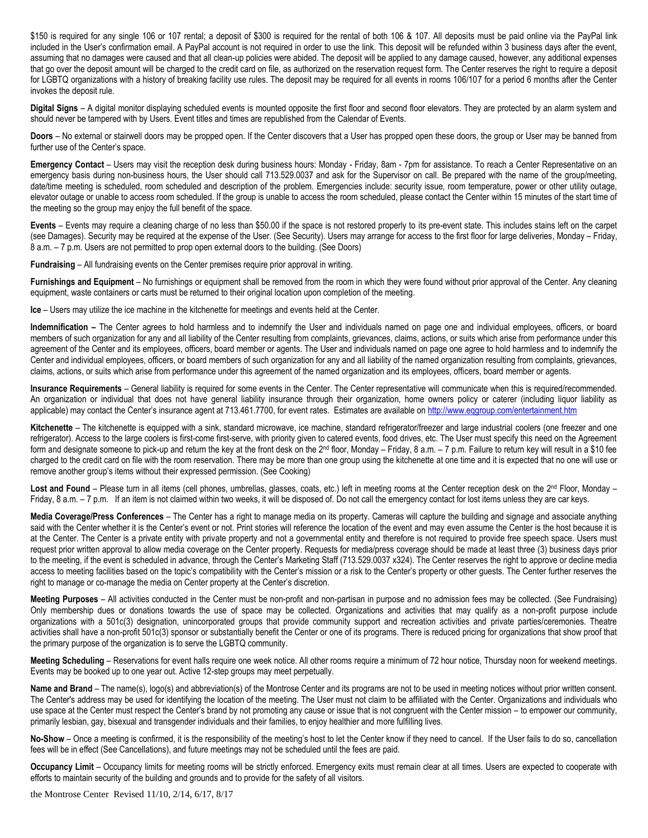\$150 is required for any single 106 or 107 rental; a deposit of \$300 is required for the rental of both 106 & 107. All deposits must be paid online via the PayPal link included in the User's confirmation email. A PayPal account is not required in order to use the link. This deposit will be refunded within 3 business days after the event, assuming that no damages were caused and that all clean-up policies were abided. The deposit will be applied to any damage caused, however, any additional expenses that go over the deposit amount will be charged to the credit card on file, as authorized on the reservation request form. The Center reserves the right to require a deposit for LGBTQ organizations with a history of breaking facility use rules. The deposit may be required for all events in rooms 106/107 for a period 6 months after the Center invokes the deposit rule.

**Digital Signs** – A digital monitor displaying scheduled events is mounted opposite the first floor and second floor elevators. They are protected by an alarm system and should never be tampered with by Users. Event titles and times are republished from the Calendar of Events.

**Doors** – No external or stairwell doors may be propped open. If the Center discovers that a User has propped open these doors, the group or User may be banned from further use of the Center's space.

**Emergency Contact** – Users may visit the reception desk during business hours: Monday - Friday, 8am - 7pm for assistance. To reach a Center Representative on an emergency basis during non-business hours, the User should call 713.529.0037 and ask for the Supervisor on call. Be prepared with the name of the group/meeting, date/time meeting is scheduled, room scheduled and description of the problem. Emergencies include: security issue, room temperature, power or other utility outage, elevator outage or unable to access room scheduled. If the group is unable to access the room scheduled, please contact the Center within 15 minutes of the start time of the meeting so the group may enjoy the full benefit of the space.

**Events** – Events may require a cleaning charge of no less than \$50.00 if the space is not restored properly to its pre-event state. This includes stains left on the carpet (see Damages). Security may be required at the expense of the User. (See Security). Users may arrange for access to the first floor for large deliveries, Monday – Friday, 8 a.m. – 7 p.m. Users are not permitted to prop open external doors to the building. (See Doors)

**Fundraising** – All fundraising events on the Center premises require prior approval in writing.

**Furnishings and Equipment** – No furnishings or equipment shall be removed from the room in which they were found without prior approval of the Center. Any cleaning equipment, waste containers or carts must be returned to their original location upon completion of the meeting.

**Ice** – Users may utilize the ice machine in the kitchenette for meetings and events held at the Center.

Indemnification – The Center agrees to hold harmless and to indemnify the User and individuals named on page one and individual employees, officers, or board members of such organization for any and all liability of the Center resulting from complaints, grievances, claims, actions, or suits which arise from performance under this agreement of the Center and its employees, officers, board member or agents. The User and individuals named on page one agree to hold harmless and to indemnify the Center and individual employees, officers, or board members of such organization for any and all liability of the named organization resulting from complaints, grievances, claims, actions, or suits which arise from performance under this agreement of the named organization and its employees, officers, board member or agents.

**Insurance Requirements** – General liability is required for some events in the Center. The Center representative will communicate when this is required/recommended. An organization or individual that does not have general liability insurance through their organization, home owners policy or caterer (including liquor liability as applicable) may contact the Center's insurance agent at 713.461.7700, for event rates. Estimates are available o[n http://www.eqgroup.com/entertainment.htm](http://www.eqgroup.com/entertainment.htm)

Kitchenette – The kitchenette is equipped with a sink, standard microwave, ice machine, standard refrigerator/freezer and large industrial coolers (one freezer and one refrigerator). Access to the large coolers is first-come first-serve, with priority given to catered events, food drives, etc. The User must specify this need on the Agreement form and designate someone to pick-up and return the key at the front desk on the 2<sup>nd</sup> floor, Monday – Friday, 8 a.m. – 7 p.m. Failure to return key will result in a \$10 fee charged to the credit card on file with the room reservation. There may be more than one group using the kitchenette at one time and it is expected that no one will use or remove another group's items without their expressed permission. (See Cooking)

Lost and Found – Please turn in all items (cell phones, umbrellas, glasses, coats, etc.) left in meeting rooms at the Center reception desk on the 2<sup>nd</sup> Floor, Monday – Friday, 8 a.m. - 7 p.m. If an item is not claimed within two weeks, it will be disposed of. Do not call the emergency contact for lost items unless they are car keys.

**Media Coverage/Press Conferences** – The Center has a right to manage media on its property. Cameras will capture the building and signage and associate anything said with the Center whether it is the Center's event or not. Print stories will reference the location of the event and may even assume the Center is the host because it is at the Center. The Center is a private entity with private property and not a governmental entity and therefore is not required to provide free speech space. Users must request prior written approval to allow media coverage on the Center property. Requests for media/press coverage should be made at least three (3) business days prior to the meeting, if the event is scheduled in advance, through the Center's Marketing Staff (713.529.0037 x324). The Center reserves the right to approve or decline media access to meeting facilities based on the topic's compatibility with the Center's mission or a risk to the Center's property or other guests. The Center further reserves the right to manage or co-manage the media on Center property at the Center's discretion.

**Meeting Purposes** – All activities conducted in the Center must be non-profit and non-partisan in purpose and no admission fees may be collected. (See Fundraising) Only membership dues or donations towards the use of space may be collected. Organizations and activities that may qualify as a non-profit purpose include organizations with a 501c(3) designation, unincorporated groups that provide community support and recreation activities and private parties/ceremonies. Theatre activities shall have a non-profit 501c(3) sponsor or substantially benefit the Center or one of its programs. There is reduced pricing for organizations that show proof that the primary purpose of the organization is to serve the LGBTQ community.

**Meeting Scheduling** – Reservations for event halls require one week notice. All other rooms require a minimum of 72 hour notice, Thursday noon for weekend meetings. Events may be booked up to one year out. Active 12-step groups may meet perpetually.

**Name and Brand** – The name(s), logo(s) and abbreviation(s) of the Montrose Center and its programs are not to be used in meeting notices without prior written consent. The Center's address may be used for identifying the location of the meeting. The User must not claim to be affiliated with the Center. Organizations and individuals who use space at the Center must respect the Center's brand by not promoting any cause or issue that is not congruent with the Center mission – to empower our community, primarily lesbian, gay, bisexual and transgender individuals and their families, to enjoy healthier and more fulfilling lives.

**No-Show** – Once a meeting is confirmed, it is the responsibility of the meeting's host to let the Center know if they need to cancel. If the User fails to do so, cancellation fees will be in effect (See Cancellations), and future meetings may not be scheduled until the fees are paid.

**Occupancy Limit** – Occupancy limits for meeting rooms will be strictly enforced. Emergency exits must remain clear at all times. Users are expected to cooperate with efforts to maintain security of the building and grounds and to provide for the safety of all visitors.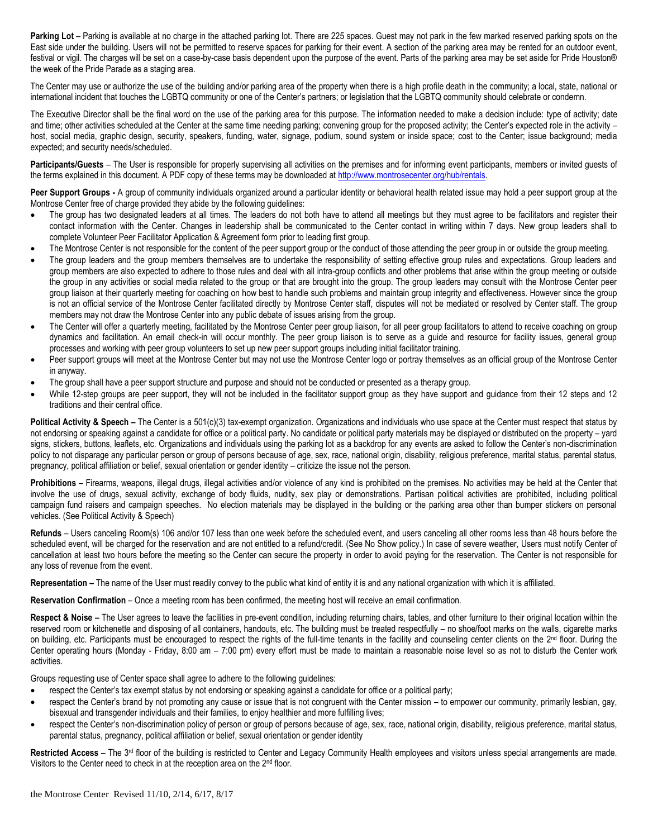**Parking Lot** – Parking is available at no charge in the attached parking lot. There are 225 spaces. Guest may not park in the few marked reserved parking spots on the East side under the building. Users will not be permitted to reserve spaces for parking for their event. A section of the parking area may be rented for an outdoor event, festival or vigil. The charges will be set on a case-by-case basis dependent upon the purpose of the event. Parts of the parking area may be set aside for Pride Houston® the week of the Pride Parade as a staging area.

The Center may use or authorize the use of the building and/or parking area of the property when there is a high profile death in the community; a local, state, national or international incident that touches the LGBTQ community or one of the Center's partners; or legislation that the LGBTQ community should celebrate or condemn.

The Executive Director shall be the final word on the use of the parking area for this purpose. The information needed to make a decision include: type of activity; date and time; other activities scheduled at the Center at the same time needing parking; convening group for the proposed activity; the Center's expected role in the activity – host, social media, graphic design, security, speakers, funding, water, signage, podium, sound system or inside space; cost to the Center; issue background; media expected; and security needs/scheduled.

Participants/Guests – The User is responsible for properly supervising all activities on the premises and for informing event participants, members or invited quests of the terms explained in this document. A PDF copy of these terms may be downloaded at http://www.montrosecenter.org/hub/rentals.

Peer Support Groups - A group of community individuals organized around a particular identity or behavioral health related issue may hold a peer support group at the Montrose Center free of charge provided they abide by the following guidelines:

- The group has two designated leaders at all times. The leaders do not both have to attend all meetings but they must agree to be facilitators and register their contact information with the Center. Changes in leadership shall be communicated to the Center contact in writing within 7 days. New group leaders shall to complete Volunteer Peer Facilitator Application & Agreement form prior to leading first group.
- The Montrose Center is not responsible for the content of the peer support group or the conduct of those attending the peer group in or outside the group meeting.
- The group leaders and the group members themselves are to undertake the responsibility of setting effective group rules and expectations. Group leaders and group members are also expected to adhere to those rules and deal with all intra-group conflicts and other problems that arise within the group meeting or outside the group in any activities or social media related to the group or that are brought into the group. The group leaders may consult with the Montrose Center peer group liaison at their quarterly meeting for coaching on how best to handle such problems and maintain group integrity and effectiveness. However since the group is not an official service of the Montrose Center facilitated directly by Montrose Center staff, disputes will not be mediated or resolved by Center staff. The group members may not draw the Montrose Center into any public debate of issues arising from the group.
- The Center will offer a quarterly meeting, facilitated by the Montrose Center peer group liaison, for all peer group facilitators to attend to receive coaching on group dynamics and facilitation. An email check-in will occur monthly. The peer group liaison is to serve as a guide and resource for facility issues, general group processes and working with peer group volunteers to set up new peer support groups including initial facilitator training.
- Peer support groups will meet at the Montrose Center but may not use the Montrose Center logo or portray themselves as an official group of the Montrose Center in anyway.
- The group shall have a peer support structure and purpose and should not be conducted or presented as a therapy group.
- While 12-step groups are peer support, they will not be included in the facilitator support group as they have support and guidance from their 12 steps and 12 traditions and their central office.

**Political Activity & Speech** – The Center is a 501(c)(3) tax-exempt organization. Organizations and individuals who use space at the Center must respect that status by not endorsing or speaking against a candidate for office or a political party. No candidate or political party materials may be displayed or distributed on the property – yard signs, stickers, buttons, leaflets, etc. Organizations and individuals using the parking lot as a backdrop for any events are asked to follow the Center's non-discrimination policy to not disparage any particular person or group of persons because of age, sex, race, national origin, disability, religious preference, marital status, parental status, pregnancy, political affiliation or belief, sexual orientation or gender identity – criticize the issue not the person.

**Prohibitions** – Firearms, weapons, illegal drugs, illegal activities and/or violence of any kind is prohibited on the premises. No activities may be held at the Center that involve the use of drugs, sexual activity, exchange of body fluids, nudity, sex play or demonstrations. Partisan political activities are prohibited, including political campaign fund raisers and campaign speeches. No election materials may be displayed in the building or the parking area other than bumper stickers on personal vehicles. (See Political Activity & Speech)

**Refunds** – Users canceling Room(s) 106 and/or 107 less than one week before the scheduled event, and users canceling all other rooms less than 48 hours before the scheduled event, will be charged for the reservation and are not entitled to a refund/credit. (See No Show policy.) In case of severe weather, Users must notify Center of cancellation at least two hours before the meeting so the Center can secure the property in order to avoid paying for the reservation. The Center is not responsible for any loss of revenue from the event.

**Representation –** The name of the User must readily convey to the public what kind of entity it is and any national organization with which it is affiliated.

**Reservation Confirmation** – Once a meeting room has been confirmed, the meeting host will receive an email confirmation.

Respect & Noise - The User agrees to leave the facilities in pre-event condition, including returning chairs, tables, and other furniture to their original location within the reserved room or kitchenette and disposing of all containers, handouts, etc. The building must be treated respectfully – no shoe/foot marks on the walls, cigarette marks on building, etc. Participants must be encouraged to respect the rights of the full-time tenants in the facility and counseling center clients on the  $2<sup>nd</sup>$  floor. During the Center operating hours (Monday - Friday, 8:00 am – 7:00 pm) every effort must be made to maintain a reasonable noise level so as not to disturb the Center work activities.

Groups requesting use of Center space shall agree to adhere to the following guidelines:

- respect the Center's tax exempt status by not endorsing or speaking against a candidate for office or a political party;
- respect the Center's brand by not promoting any cause or issue that is not congruent with the Center mission to empower our community, primarily lesbian, gay, bisexual and transgender individuals and their families, to enjoy healthier and more fulfilling lives;
- respect the Center's non-discrimination policy of person or group of persons because of age, sex, race, national origin, disability, religious preference, marital status, parental status, pregnancy, political affiliation or belief, sexual orientation or gender identity

Restricted Access – The 3<sup>rd</sup> floor of the building is restricted to Center and Legacy Community Health employees and visitors unless special arrangements are made. Visitors to the Center need to check in at the reception area on the 2<sup>nd</sup> floor.